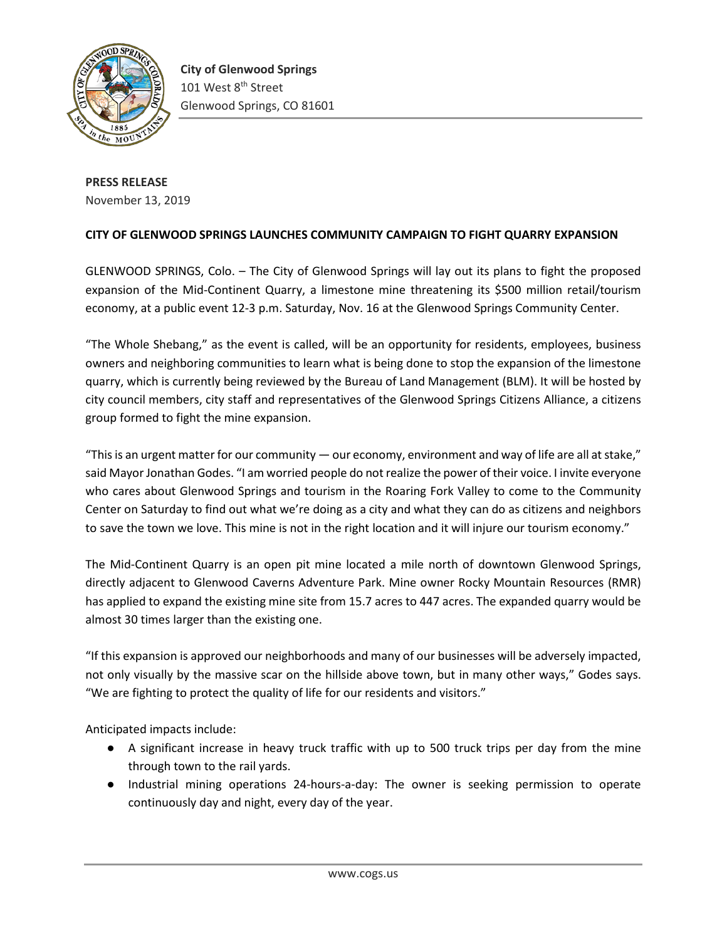

**PRESS RELEASE** November 13, 2019

## **CITY OF GLENWOOD SPRINGS LAUNCHES COMMUNITY CAMPAIGN TO FIGHT QUARRY EXPANSION**

GLENWOOD SPRINGS, Colo. – The City of Glenwood Springs will lay out its plans to fight the proposed expansion of the Mid-Continent Quarry, a limestone mine threatening its \$500 million retail/tourism economy, at a public event 12-3 p.m. Saturday, Nov. 16 at the Glenwood Springs Community Center.

"The Whole Shebang," as the event is called, will be an opportunity for residents, employees, business owners and neighboring communities to learn what is being done to stop the expansion of the limestone quarry, which is currently being reviewed by the Bureau of Land Management (BLM). It will be hosted by city council members, city staff and representatives of the Glenwood Springs Citizens Alliance, a citizens group formed to fight the mine expansion.

"This is an urgent matter for our community  $-$  our economy, environment and way of life are all at stake," said Mayor Jonathan Godes. "I am worried people do not realize the power of their voice. I invite everyone who cares about Glenwood Springs and tourism in the Roaring Fork Valley to come to the Community Center on Saturday to find out what we're doing as a city and what they can do as citizens and neighbors to save the town we love. This mine is not in the right location and it will injure our tourism economy."

The Mid-Continent Quarry is an open pit mine located a mile north of downtown Glenwood Springs, directly adjacent to Glenwood Caverns Adventure Park. Mine owner Rocky Mountain Resources (RMR) has applied to expand the existing mine site from 15.7 acres to 447 acres. The expanded quarry would be almost 30 times larger than the existing one.

"If this expansion is approved our neighborhoods and many of our businesses will be adversely impacted, not only visually by the massive scar on the hillside above town, but in many other ways," Godes says. "We are fighting to protect the quality of life for our residents and visitors."

Anticipated impacts include:

- A significant increase in heavy truck traffic with up to 500 truck trips per day from the mine through town to the rail yards.
- Industrial mining operations 24-hours-a-day: The owner is seeking permission to operate continuously day and night, every day of the year.